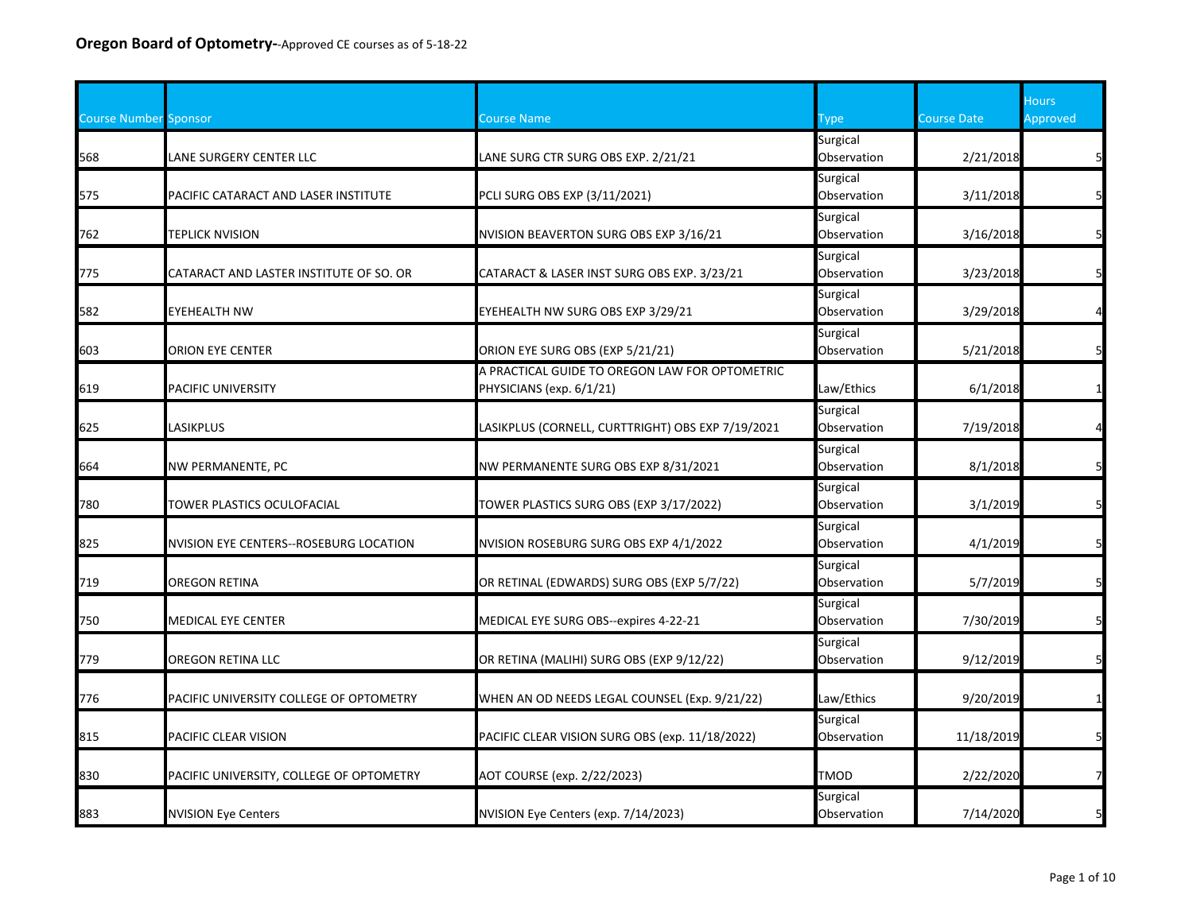| <b>Course Number Sponsor</b> |                                          | <b>Course Name</b>                                                         | Гуре                    | <b>Course Date</b> | <b>Hours</b><br>Approved |
|------------------------------|------------------------------------------|----------------------------------------------------------------------------|-------------------------|--------------------|--------------------------|
| 568                          | LANE SURGERY CENTER LLC                  | LANE SURG CTR SURG OBS EXP. 2/21/21                                        | Surgical<br>Observation | 2/21/2018          |                          |
| 575                          | PACIFIC CATARACT AND LASER INSTITUTE     | PCLI SURG OBS EXP (3/11/2021)                                              | Surgical<br>Observation | 3/11/2018          | 5                        |
| 762                          | <b>TEPLICK NVISION</b>                   | NVISION BEAVERTON SURG OBS EXP 3/16/21                                     | Surgical<br>Observation | 3/16/2018          | 5                        |
| 775                          | CATARACT AND LASTER INSTITUTE OF SO. OR  | CATARACT & LASER INST SURG OBS EXP. 3/23/21                                | Surgical<br>Observation | 3/23/2018          | 5 <sup>1</sup>           |
| 582                          | <b>EYEHEALTH NW</b>                      | EYEHEALTH NW SURG OBS EXP 3/29/21                                          | Surgical<br>Observation | 3/29/2018          | $\overline{4}$           |
| 603                          | ORION EYE CENTER                         | ORION EYE SURG OBS (EXP 5/21/21)                                           | Surgical<br>Observation | 5/21/2018          | 5                        |
| 619                          | <b>PACIFIC UNIVERSITY</b>                | A PRACTICAL GUIDE TO OREGON LAW FOR OPTOMETRIC<br>PHYSICIANS (exp. 6/1/21) | Law/Ethics              | 6/1/2018           | $\mathbf{1}$             |
| 625                          | LASIKPLUS                                | LASIKPLUS (CORNELL, CURTTRIGHT) OBS EXP 7/19/2021                          | Surgical<br>Observation | 7/19/2018          |                          |
| 664                          | <b>NW PERMANENTE, PC</b>                 | NW PERMANENTE SURG OBS EXP 8/31/2021                                       | Surgical<br>Observation | 8/1/2018           | 5                        |
| 780                          | TOWER PLASTICS OCULOFACIAL               | TOWER PLASTICS SURG OBS (EXP 3/17/2022)                                    | Surgical<br>Observation | 3/1/2019           | 5 <sub>l</sub>           |
| 825                          | NVISION EYE CENTERS--ROSEBURG LOCATION   | NVISION ROSEBURG SURG OBS EXP 4/1/2022                                     | Surgical<br>Observation | 4/1/2019           | 5 <sup>1</sup>           |
| 719                          | <b>OREGON RETINA</b>                     | OR RETINAL (EDWARDS) SURG OBS (EXP 5/7/22)                                 | Surgical<br>Observation | 5/7/2019           | 5 <sub>l</sub>           |
| 750                          | <b>MEDICAL EYE CENTER</b>                | MEDICAL EYE SURG OBS--expires 4-22-21                                      | Surgical<br>Observation | 7/30/2019          | 5                        |
| 779                          | <b>OREGON RETINA LLC</b>                 | OR RETINA (MALIHI) SURG OBS (EXP 9/12/22)                                  | Surgical<br>Observation | 9/12/2019          | 5                        |
| 776                          | PACIFIC UNIVERSITY COLLEGE OF OPTOMETRY  | WHEN AN OD NEEDS LEGAL COUNSEL (Exp. 9/21/22)                              | Law/Ethics              | 9/20/2019          | $\mathbf{1}$             |
| 815                          | PACIFIC CLEAR VISION                     | PACIFIC CLEAR VISION SURG OBS (exp. 11/18/2022)                            | Surgical<br>Observation | 11/18/2019         | 5                        |
| 830                          | PACIFIC UNIVERSITY, COLLEGE OF OPTOMETRY | AOT COURSE (exp. 2/22/2023)                                                | <b>TMOD</b>             | 2/22/2020          | $\overline{7}$           |
| 883                          | <b>NVISION Eye Centers</b>               | NVISION Eye Centers (exp. 7/14/2023)                                       | Surgical<br>Observation | 7/14/2020          | 5                        |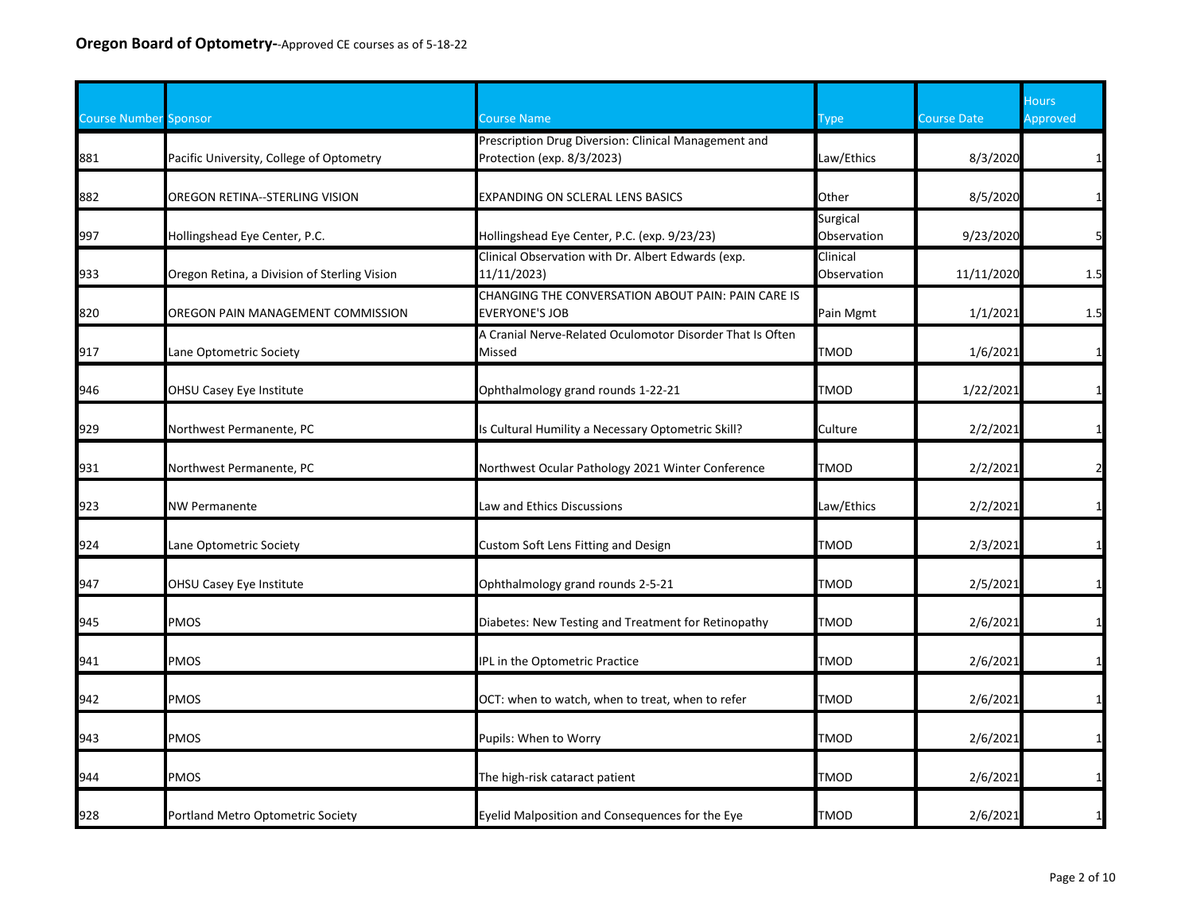| <b>Course Number Sponsor</b> |                                              | Course Name                                                                        | Type                    | <b>Course Date</b> | <b>Hours</b><br>Approved |
|------------------------------|----------------------------------------------|------------------------------------------------------------------------------------|-------------------------|--------------------|--------------------------|
| 881                          | Pacific University, College of Optometry     | Prescription Drug Diversion: Clinical Management and<br>Protection (exp. 8/3/2023) | Law/Ethics              | 8/3/2020           |                          |
| 882                          | OREGON RETINA--STERLING VISION               | EXPANDING ON SCLERAL LENS BASICS                                                   | Other                   | 8/5/2020           | $\mathbf{1}$             |
| 997                          | Hollingshead Eye Center, P.C.                | Hollingshead Eye Center, P.C. (exp. 9/23/23)                                       | Surgical<br>Observation | 9/23/2020          | 5                        |
| 933                          | Oregon Retina, a Division of Sterling Vision | Clinical Observation with Dr. Albert Edwards (exp.<br>11/11/2023)                  | Clinical<br>Observation | 11/11/2020         | 1.5                      |
| 820                          | OREGON PAIN MANAGEMENT COMMISSION            | CHANGING THE CONVERSATION ABOUT PAIN: PAIN CARE IS<br>EVERYONE'S JOB               | Pain Mgmt               | 1/1/2021           | 1.5                      |
| 917                          | Lane Optometric Society                      | A Cranial Nerve-Related Oculomotor Disorder That Is Often<br>Missed                | <b>TMOD</b>             | 1/6/2021           | $\mathbf{1}$             |
| 946                          | OHSU Casey Eye Institute                     | Ophthalmology grand rounds 1-22-21                                                 | TMOD                    | 1/22/2021          | $\mathbf{1}$             |
| 929                          | Northwest Permanente, PC                     | s Cultural Humility a Necessary Optometric Skill?                                  | Culture                 | 2/2/2021           | $\mathbf{1}$             |
| 931                          | Northwest Permanente, PC                     | Northwest Ocular Pathology 2021 Winter Conference                                  | TMOD                    | 2/2/2021           | $\overline{2}$           |
| 923                          | <b>NW Permanente</b>                         | Law and Ethics Discussions                                                         | Law/Ethics              | 2/2/2021           |                          |
| 924                          | Lane Optometric Society                      | Custom Soft Lens Fitting and Design                                                | TMOD                    | 2/3/2021           | $\mathbf{1}$             |
| 947                          | OHSU Casey Eye Institute                     | Ophthalmology grand rounds 2-5-21                                                  | <b>TMOD</b>             | 2/5/2021           | $\mathbf{1}$             |
| 945                          | PMOS                                         | Diabetes: New Testing and Treatment for Retinopathy                                | <b>TMOD</b>             | 2/6/2021           | $\mathbf{1}$             |
| 941                          | PMOS                                         | IPL in the Optometric Practice                                                     | TMOD                    | 2/6/2021           | $\mathbf 1$              |
| 942                          | PMOS                                         | OCT: when to watch, when to treat, when to refer                                   | <b>TMOD</b>             | 2/6/2021           |                          |
| 943                          | <b>PMOS</b>                                  | Pupils: When to Worry                                                              | TMOD                    | 2/6/2021           |                          |
| 944                          | PMOS                                         | The high-risk cataract patient                                                     | <b>TMOD</b>             | 2/6/2021           | $\mathbf{1}$             |
| 928                          | Portland Metro Optometric Society            | Eyelid Malposition and Consequences for the Eye                                    | TMOD                    | 2/6/2021           | $\mathbf{1}$             |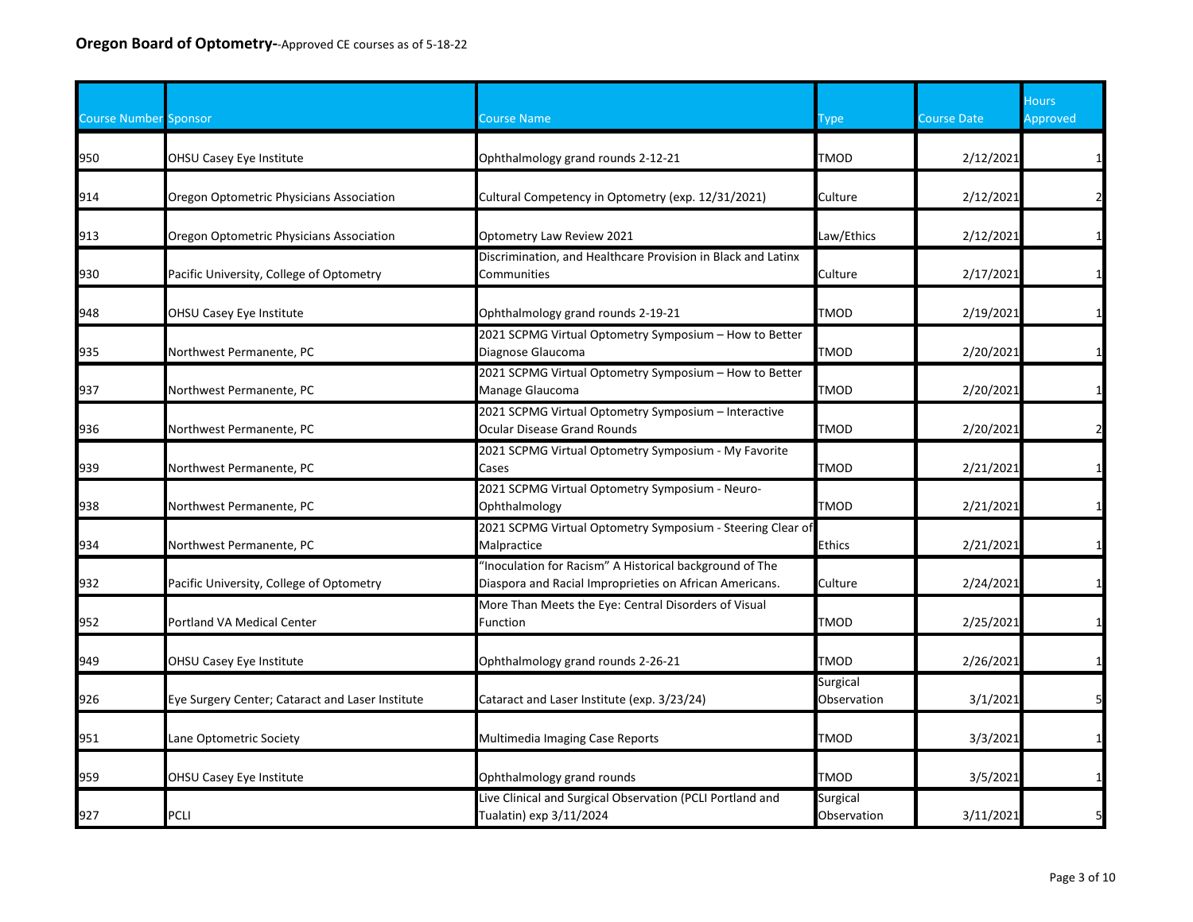| <b>Course Number Sponsor</b> |                                                  | Course Name                                                                                                        | <b>Type</b>             | <b>Course Date</b> | <b>Hours</b><br>Approved |
|------------------------------|--------------------------------------------------|--------------------------------------------------------------------------------------------------------------------|-------------------------|--------------------|--------------------------|
| 950                          | OHSU Casey Eye Institute                         | Ophthalmology grand rounds 2-12-21                                                                                 | <b>TMOD</b>             | 2/12/2021          |                          |
| 914                          | Oregon Optometric Physicians Association         | Cultural Competency in Optometry (exp. 12/31/2021)                                                                 | Culture                 | 2/12/2021          |                          |
| 913                          | Oregon Optometric Physicians Association         | Optometry Law Review 2021                                                                                          | Law/Ethics              | 2/12/2021          |                          |
| 930                          | Pacific University, College of Optometry         | Discrimination, and Healthcare Provision in Black and Latinx<br>Communities                                        | Culture                 | 2/17/2021          |                          |
| 948                          | OHSU Casey Eye Institute                         | Ophthalmology grand rounds 2-19-21                                                                                 | <b>TMOD</b>             | 2/19/2021          |                          |
| 935                          | Northwest Permanente, PC                         | 2021 SCPMG Virtual Optometry Symposium - How to Better<br>Diagnose Glaucoma                                        | <b>TMOD</b>             | 2/20/2021          |                          |
| 937                          | Northwest Permanente, PC                         | 2021 SCPMG Virtual Optometry Symposium - How to Better<br>Manage Glaucoma                                          | <b>TMOD</b>             | 2/20/2021          |                          |
| 936                          | Northwest Permanente, PC                         | 2021 SCPMG Virtual Optometry Symposium - Interactive<br>Ocular Disease Grand Rounds                                | <b>TMOD</b>             | 2/20/2021          |                          |
| 939                          | Northwest Permanente, PC                         | 2021 SCPMG Virtual Optometry Symposium - My Favorite<br>Cases                                                      | <b>TMOD</b>             | 2/21/2021          |                          |
| 938                          | Northwest Permanente, PC                         | 2021 SCPMG Virtual Optometry Symposium - Neuro-<br>Ophthalmology                                                   | <b>TMOD</b>             | 2/21/2021          |                          |
| 934                          | Northwest Permanente, PC                         | 2021 SCPMG Virtual Optometry Symposium - Steering Clear of<br>Malpractice                                          | <b>Ethics</b>           | 2/21/2021          |                          |
| 932                          | Pacific University, College of Optometry         | "Inoculation for Racism" A Historical background of The<br>Diaspora and Racial Improprieties on African Americans. | Culture                 | 2/24/2021          |                          |
| 952                          | Portland VA Medical Center                       | More Than Meets the Eye: Central Disorders of Visual<br>Function                                                   | <b>TMOD</b>             | 2/25/2021          |                          |
| 949                          | OHSU Casey Eye Institute                         | Ophthalmology grand rounds 2-26-21                                                                                 | <b>TMOD</b>             | 2/26/2021          |                          |
| 926                          | Eye Surgery Center; Cataract and Laser Institute | Cataract and Laser Institute (exp. 3/23/24)                                                                        | Surgical<br>Observation | 3/1/2021           |                          |
| 951                          | ane Optometric Society                           | Multimedia Imaging Case Reports                                                                                    | <b>TMOD</b>             | 3/3/2021           |                          |
| 959                          | OHSU Casey Eye Institute                         | Ophthalmology grand rounds                                                                                         | <b>TMOD</b>             | 3/5/2021           |                          |
| 927                          | PCLI                                             | Live Clinical and Surgical Observation (PCLI Portland and<br>Tualatin) exp 3/11/2024                               | Surgical<br>Observation | 3/11/2021          |                          |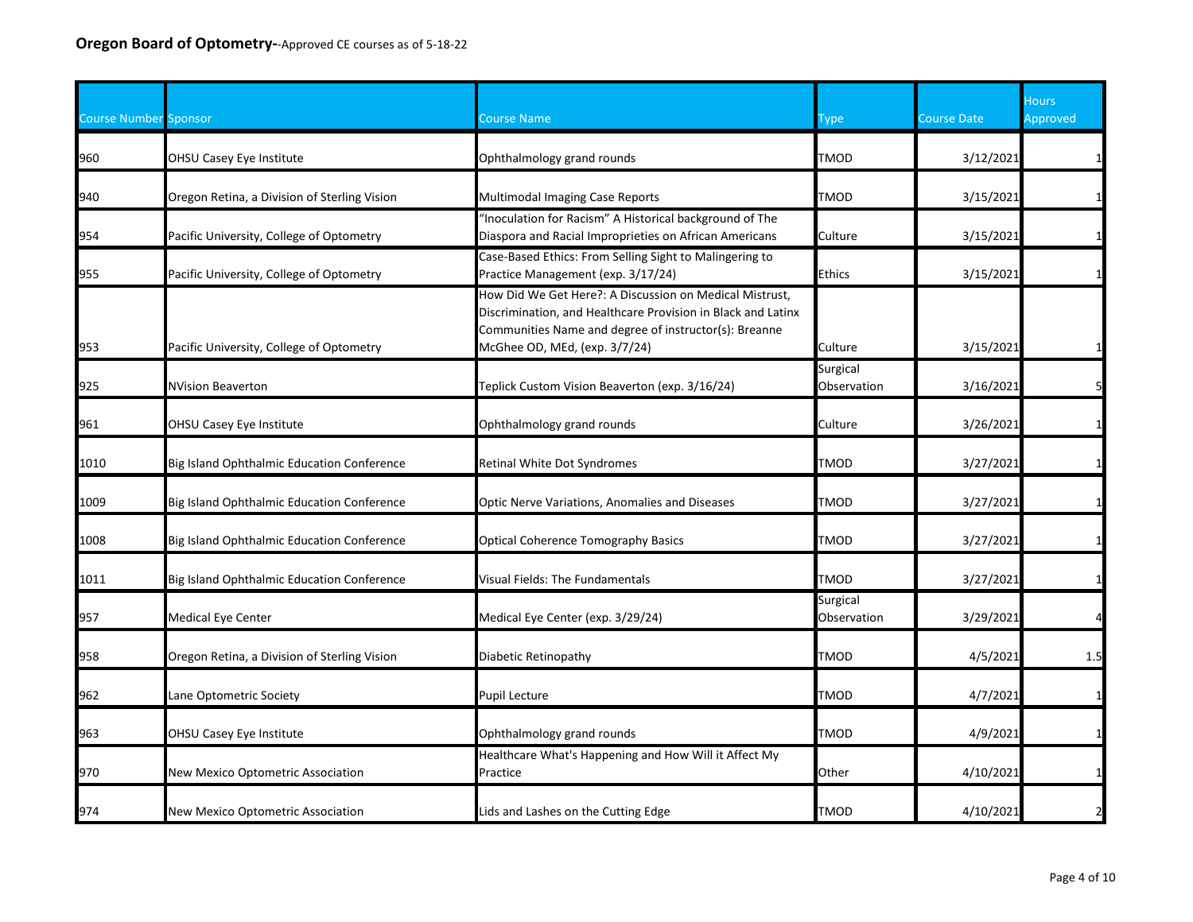| <b>Course Number Sponsor</b> |                                              | Course Name                                                                                                                                                                                                       | Type                    | <b>Course Date</b> | <b>Hours</b><br>Approved |
|------------------------------|----------------------------------------------|-------------------------------------------------------------------------------------------------------------------------------------------------------------------------------------------------------------------|-------------------------|--------------------|--------------------------|
| 960                          | OHSU Casey Eye Institute                     | Ophthalmology grand rounds                                                                                                                                                                                        | TMOD                    | 3/12/2021          |                          |
| 940                          | Oregon Retina, a Division of Sterling Vision | Multimodal Imaging Case Reports                                                                                                                                                                                   | TMOD                    | 3/15/2021          |                          |
| 954                          | Pacific University, College of Optometry     | "Inoculation for Racism" A Historical background of The<br>Diaspora and Racial Improprieties on African Americans                                                                                                 | Culture                 | 3/15/2021          |                          |
| 955                          | Pacific University, College of Optometry     | Case-Based Ethics: From Selling Sight to Malingering to<br>Practice Management (exp. 3/17/24)                                                                                                                     | <b>Ethics</b>           | 3/15/2021          | $1\overline{ }$          |
| 953                          | Pacific University, College of Optometry     | How Did We Get Here?: A Discussion on Medical Mistrust,<br>Discrimination, and Healthcare Provision in Black and Latinx<br>Communities Name and degree of instructor(s): Breanne<br>McGhee OD, MEd, (exp. 3/7/24) | Culture                 | 3/15/2021          |                          |
| 925                          | NVision Beaverton                            | Teplick Custom Vision Beaverton (exp. 3/16/24)                                                                                                                                                                    | Surgical<br>Observation | 3/16/2021          |                          |
| 961                          | OHSU Casey Eye Institute                     | Ophthalmology grand rounds                                                                                                                                                                                        | Culture                 | 3/26/2021          |                          |
| 1010                         | Big Island Ophthalmic Education Conference   | Retinal White Dot Syndromes                                                                                                                                                                                       | TMOD                    | 3/27/2021          | 1                        |
| 1009                         | Big Island Ophthalmic Education Conference   | Optic Nerve Variations, Anomalies and Diseases                                                                                                                                                                    | TMOD                    | 3/27/2021          | $\mathbf{1}$             |
| 1008                         | Big Island Ophthalmic Education Conference   | <b>Optical Coherence Tomography Basics</b>                                                                                                                                                                        | TMOD                    | 3/27/2021          | $1\overline{ }$          |
| 1011                         | Big Island Ophthalmic Education Conference   | Visual Fields: The Fundamentals                                                                                                                                                                                   | TMOD                    | 3/27/2021          | $1\overline{ }$          |
| 957                          | Medical Eye Center                           | Medical Eye Center (exp. 3/29/24)                                                                                                                                                                                 | Surgical<br>Observation | 3/29/2021          | 4                        |
| 958                          | Oregon Retina, a Division of Sterling Vision | Diabetic Retinopathy                                                                                                                                                                                              | TMOD                    | 4/5/2021           | 1.5                      |
| 962                          | ane Optometric Society                       | <b>Pupil Lecture</b>                                                                                                                                                                                              | TMOD                    | 4/7/2021           |                          |
| 963                          | OHSU Casey Eye Institute                     | Ophthalmology grand rounds                                                                                                                                                                                        | TMOD                    | 4/9/2021           | $\mathbf{1}$             |
| 970                          | New Mexico Optometric Association            | Healthcare What's Happening and How Will it Affect My<br>Practice                                                                                                                                                 | Other                   | 4/10/2021          | $\mathbf{1}$             |
| 974                          | <b>New Mexico Optometric Association</b>     | Lids and Lashes on the Cutting Edge                                                                                                                                                                               | TMOD                    | 4/10/2021          | $\overline{2}$           |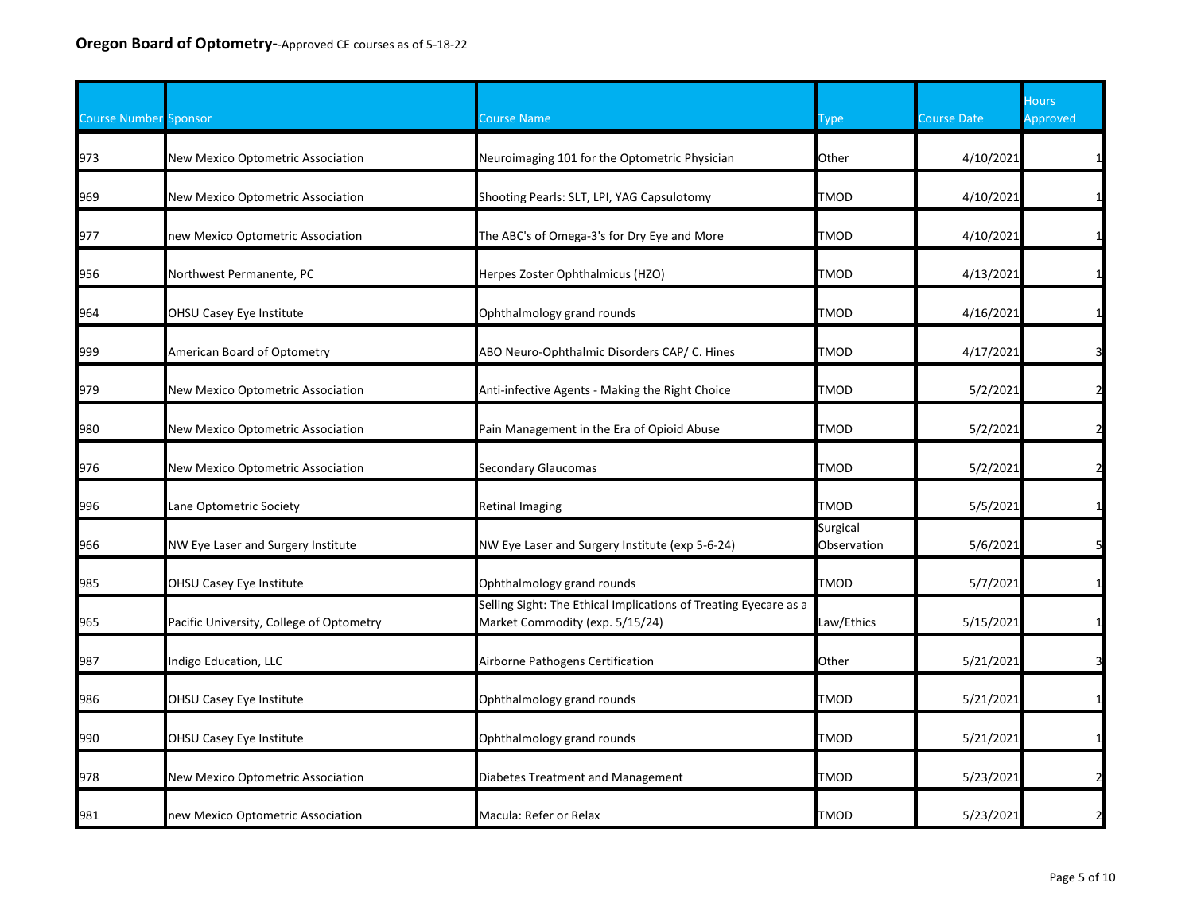| <b>Course Number Sponsor</b> |                                          | Course Name                                                                                         | Type                    | <b>Course Date</b> | <b>Hours</b><br>Approved |
|------------------------------|------------------------------------------|-----------------------------------------------------------------------------------------------------|-------------------------|--------------------|--------------------------|
| 973                          | <b>New Mexico Optometric Association</b> | Neuroimaging 101 for the Optometric Physician                                                       | Other                   | 4/10/2021          |                          |
| 969                          | New Mexico Optometric Association        | Shooting Pearls: SLT, LPI, YAG Capsulotomy                                                          | TMOD                    | 4/10/2021          |                          |
| 977                          | new Mexico Optometric Association        | The ABC's of Omega-3's for Dry Eye and More                                                         | TMOD                    | 4/10/2021          |                          |
| 956                          | Northwest Permanente, PC                 | Herpes Zoster Ophthalmicus (HZO)                                                                    | TMOD                    | 4/13/2021          | $\mathbf 1$              |
| 964                          | OHSU Casey Eye Institute                 | Ophthalmology grand rounds                                                                          | TMOD                    | 4/16/2021          |                          |
| 999                          | American Board of Optometry              | ABO Neuro-Ophthalmic Disorders CAP/ C. Hines                                                        | <b>TMOD</b>             | 4/17/2021          | $\overline{\mathbf{3}}$  |
| 979                          | New Mexico Optometric Association        | Anti-infective Agents - Making the Right Choice                                                     | <b>TMOD</b>             | 5/2/2021           | $\overline{2}$           |
| 980                          | New Mexico Optometric Association        | Pain Management in the Era of Opioid Abuse                                                          | TMOD                    | 5/2/2021           | $\overline{2}$           |
| 976                          | New Mexico Optometric Association        | Secondary Glaucomas                                                                                 | TMOD                    | 5/2/2021           |                          |
| 996                          | Lane Optometric Society                  | <b>Retinal Imaging</b>                                                                              | TMOD                    | 5/5/2021           |                          |
| 966                          | NW Eye Laser and Surgery Institute       | NW Eye Laser and Surgery Institute (exp 5-6-24)                                                     | Surgical<br>Observation | 5/6/2021           | 5 <sup>1</sup>           |
| 985                          | OHSU Casey Eye Institute                 | Ophthalmology grand rounds                                                                          | TMOD                    | 5/7/2021           | $\mathbf{1}$             |
| 965                          | Pacific University, College of Optometry | Selling Sight: The Ethical Implications of Treating Eyecare as a<br>Market Commodity (exp. 5/15/24) | Law/Ethics              | 5/15/2021          |                          |
| 987                          | Indigo Education, LLC                    | Airborne Pathogens Certification                                                                    | Other                   | 5/21/2021          | 3                        |
| 986                          | OHSU Casey Eye Institute                 | Ophthalmology grand rounds                                                                          | TMOD                    | 5/21/2021          | $\mathbf{1}$             |
| 990                          | OHSU Casey Eye Institute                 | Ophthalmology grand rounds                                                                          | TMOD                    | 5/21/2021          |                          |
| 978                          | New Mexico Optometric Association        | Diabetes Treatment and Management                                                                   | TMOD                    | 5/23/2021          | $\overline{2}$           |
| 981                          | new Mexico Optometric Association        | Macula: Refer or Relax                                                                              | <b>TMOD</b>             | 5/23/2021          | $\overline{2}$           |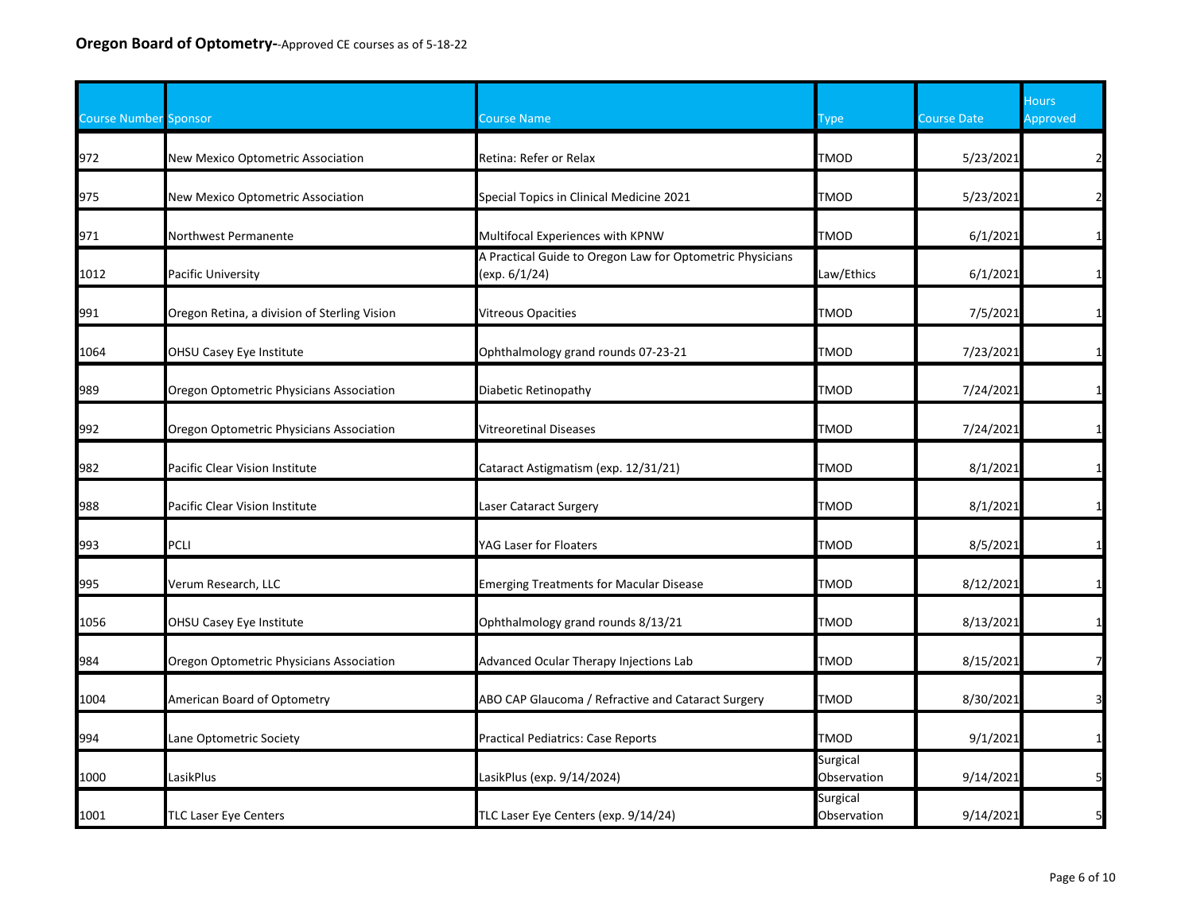| <b>Course Number Sponsor</b> |                                              | Course Name                                                                | Type                    | <b>Course Date</b> | <b>Hours</b><br><b>Approved</b> |
|------------------------------|----------------------------------------------|----------------------------------------------------------------------------|-------------------------|--------------------|---------------------------------|
| 972                          | New Mexico Optometric Association            | Retina: Refer or Relax                                                     | <b>TMOD</b>             | 5/23/2021          | $\overline{2}$                  |
| 975                          | New Mexico Optometric Association            | Special Topics in Clinical Medicine 2021                                   | <b>TMOD</b>             | 5/23/2021          | $\overline{2}$                  |
| 971                          | Northwest Permanente                         | Multifocal Experiences with KPNW                                           | <b>TMOD</b>             | 6/1/2021           | $\mathbf{1}$                    |
| 1012                         | Pacific University                           | A Practical Guide to Oregon Law for Optometric Physicians<br>(exp. 6/1/24) | Law/Ethics              | 6/1/2021           | $\mathbf{1}$                    |
| 991                          | Oregon Retina, a division of Sterling Vision | <b>Vitreous Opacities</b>                                                  | TMOD                    | 7/5/2021           | $\mathbf{1}$                    |
| 1064                         | OHSU Casey Eye Institute                     | Ophthalmology grand rounds 07-23-21                                        | <b>TMOD</b>             | 7/23/2021          | $\mathbf{1}$                    |
| 989                          | Oregon Optometric Physicians Association     | Diabetic Retinopathy                                                       | <b>TMOD</b>             | 7/24/2021          | $\mathbf{1}$                    |
| 992                          | Oregon Optometric Physicians Association     | Vitreoretinal Diseases                                                     | <b>TMOD</b>             | 7/24/2021          | $\mathbf{1}$                    |
| 982                          | Pacific Clear Vision Institute               | Cataract Astigmatism (exp. 12/31/21)                                       | TMOD                    | 8/1/2021           |                                 |
| 988                          | Pacific Clear Vision Institute               | Laser Cataract Surgery                                                     | <b>TMOD</b>             | 8/1/2021           |                                 |
| 993                          | PCLI                                         | YAG Laser for Floaters                                                     | TMOD                    | 8/5/2021           | $\mathbf{1}$                    |
| 995                          | Verum Research, LLC                          | <b>Emerging Treatments for Macular Disease</b>                             | TMOD                    | 8/12/2021          | $\mathbf{1}$                    |
| 1056                         | OHSU Casey Eye Institute                     | Ophthalmology grand rounds 8/13/21                                         | <b>TMOD</b>             | 8/13/2021          | $\mathbf{1}$                    |
| 984                          | Oregon Optometric Physicians Association     | Advanced Ocular Therapy Injections Lab                                     | <b>TMOD</b>             | 8/15/2021          | $\overline{7}$                  |
| 1004                         | American Board of Optometry                  | ABO CAP Glaucoma / Refractive and Cataract Surgery                         | TMOD                    | 8/30/2021          | $\overline{\mathbf{3}}$         |
| 994                          | Lane Optometric Society                      | <b>Practical Pediatrics: Case Reports</b>                                  | TMOD                    | 9/1/2021           | $\mathbf{1}$                    |
| 1000                         | LasikPlus                                    | LasikPlus (exp. 9/14/2024)                                                 | Surgical<br>Observation | 9/14/2021          | 5 <sub>l</sub>                  |
| 1001                         | <b>TLC Laser Eye Centers</b>                 | TLC Laser Eye Centers (exp. 9/14/24)                                       | Surgical<br>Observation | 9/14/2021          | 5                               |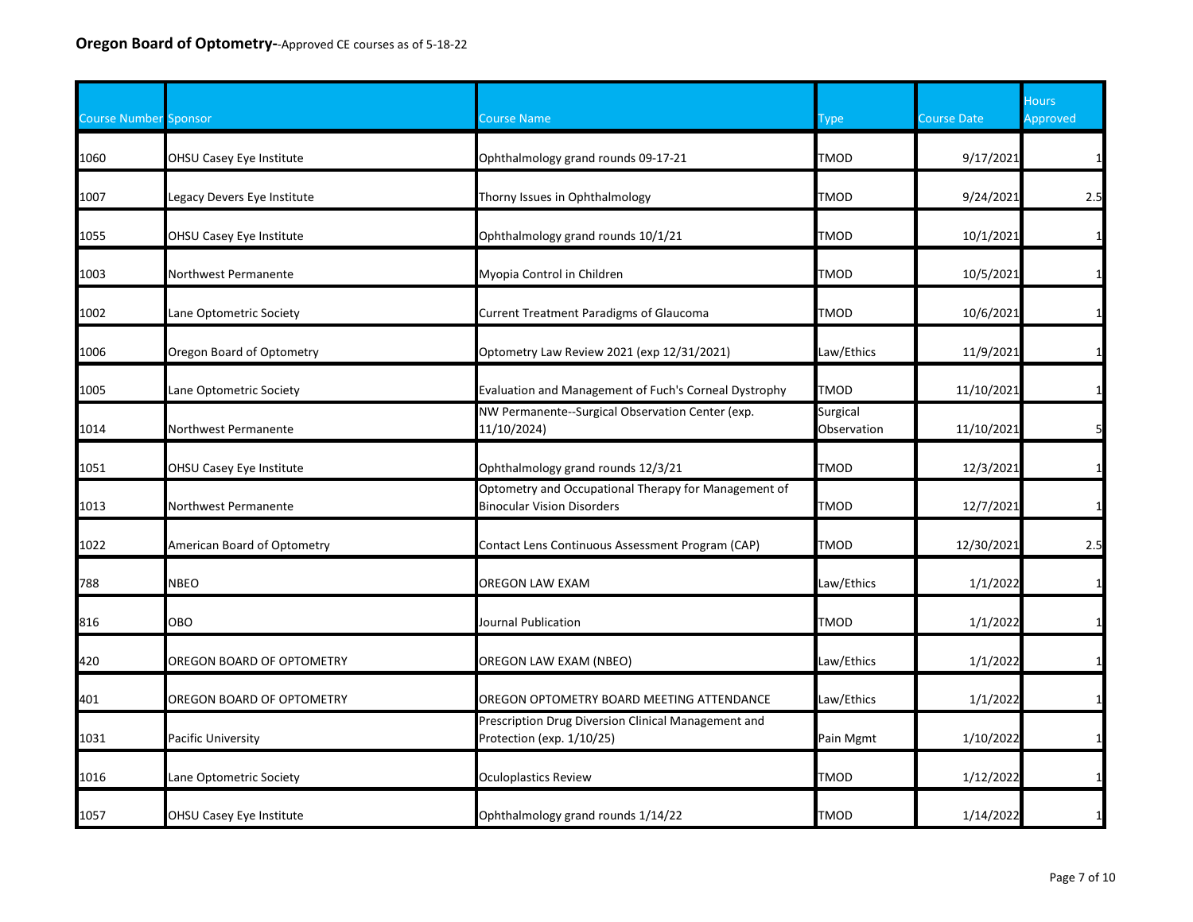| <b>Course Number Sponsor</b> |                             | <b>Course Name</b>                                                                        | Type                    | <b>Course Date</b> | <b>Hours</b><br>Approved |
|------------------------------|-----------------------------|-------------------------------------------------------------------------------------------|-------------------------|--------------------|--------------------------|
| 1060                         | OHSU Casey Eye Institute    | Ophthalmology grand rounds 09-17-21                                                       | <b>TMOD</b>             | 9/17/2021          | $\mathbf{1}$             |
| 1007                         | egacy Devers Eye Institute  | Thorny Issues in Ophthalmology                                                            | TMOD                    | 9/24/2021          | 2.5                      |
| 1055                         | OHSU Casey Eye Institute    | Ophthalmology grand rounds 10/1/21                                                        | TMOD                    | 10/1/2021          |                          |
| 1003                         | Northwest Permanente        | Myopia Control in Children                                                                | TMOD                    | 10/5/2021          | $\mathbf{1}$             |
| 1002                         | Lane Optometric Society     | <b>Current Treatment Paradigms of Glaucoma</b>                                            | TMOD                    | 10/6/2021          | $\mathbf{1}$             |
| 1006                         | Oregon Board of Optometry   | Optometry Law Review 2021 (exp 12/31/2021)                                                | Law/Ethics              | 11/9/2021          | $\mathbf{1}$             |
| 1005                         | Lane Optometric Society     | Evaluation and Management of Fuch's Corneal Dystrophy                                     | TMOD                    | 11/10/2021         | $\mathbf{1}$             |
| 1014                         | Northwest Permanente        | NW Permanente--Surgical Observation Center (exp.<br>11/10/2024)                           | Surgical<br>Observation | 11/10/2021         | 5                        |
| 1051                         | OHSU Casey Eye Institute    | Ophthalmology grand rounds 12/3/21                                                        | <b>TMOD</b>             | 12/3/2021          | $\mathbf{1}$             |
| 1013                         | Northwest Permanente        | Optometry and Occupational Therapy for Management of<br><b>Binocular Vision Disorders</b> | TMOD                    | 12/7/2021          |                          |
| 1022                         | American Board of Optometry | Contact Lens Continuous Assessment Program (CAP)                                          | TMOD                    | 12/30/2021         | 2.5                      |
| 788                          | <b>NBEO</b>                 | OREGON LAW EXAM                                                                           | Law/Ethics              | 1/1/2022           | $\mathbf{1}$             |
| 816                          | ОВО                         | Journal Publication                                                                       | <b>TMOD</b>             | 1/1/2022           | $\mathbf{1}$             |
| 420                          | OREGON BOARD OF OPTOMETRY   | OREGON LAW EXAM (NBEO)                                                                    | Law/Ethics              | 1/1/2022           | $\mathbf{1}$             |
| 401                          | OREGON BOARD OF OPTOMETRY   | OREGON OPTOMETRY BOARD MEETING ATTENDANCE                                                 | Law/Ethics              | 1/1/2022           |                          |
| 1031                         | Pacific University          | Prescription Drug Diversion Clinical Management and<br>Protection (exp. 1/10/25)          | Pain Mgmt               | 1/10/2022          | $\mathbf{1}$             |
| 1016                         | Lane Optometric Society     | <b>Oculoplastics Review</b>                                                               | <b>TMOD</b>             | 1/12/2022          | $\mathbf{1}$             |
| 1057                         | OHSU Casey Eye Institute    | Ophthalmology grand rounds 1/14/22                                                        | TMOD                    | 1/14/2022          | $\mathbf{1}$             |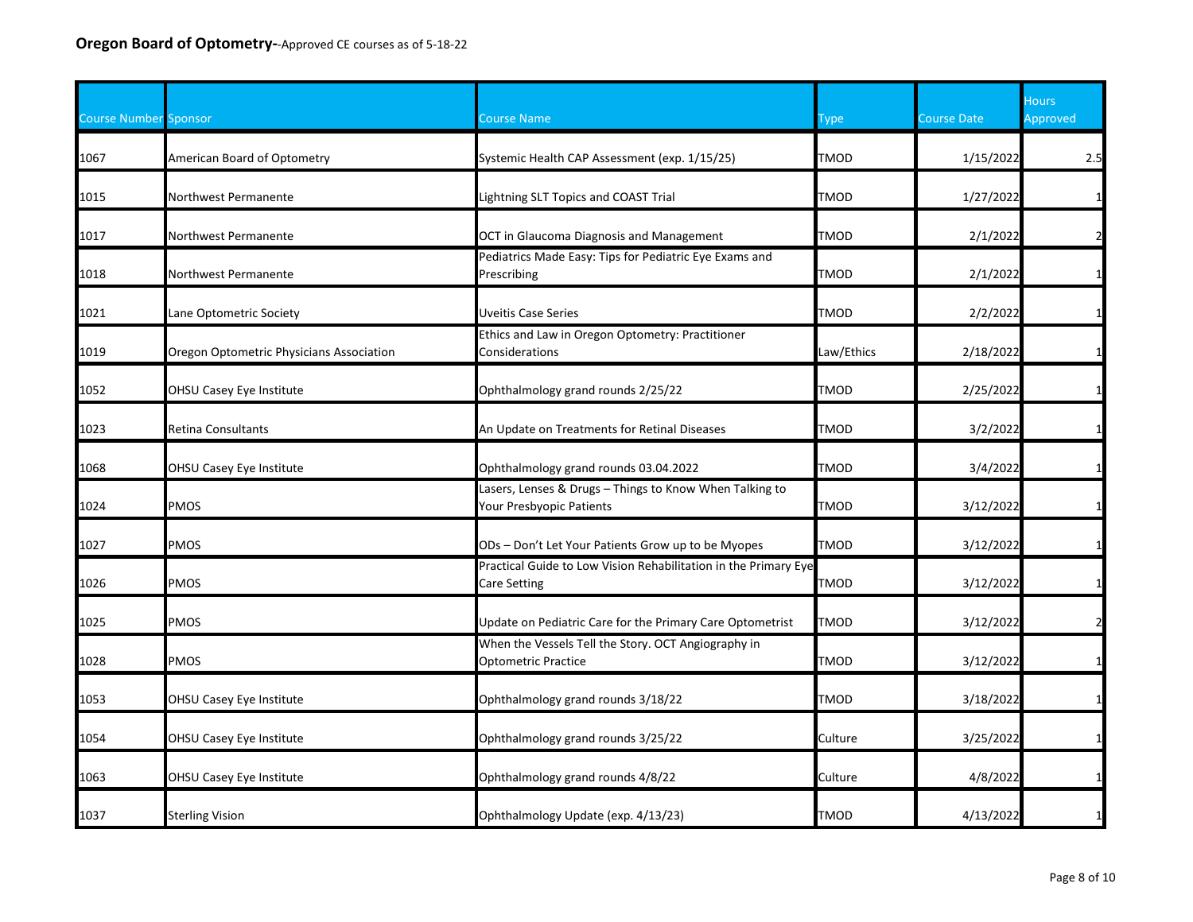| <b>Course Number Sponsor</b> |                                          | Course Name                                                                            | Type        | <b>Course Date</b> | <b>Hours</b><br>Approved |
|------------------------------|------------------------------------------|----------------------------------------------------------------------------------------|-------------|--------------------|--------------------------|
| 1067                         | American Board of Optometry              | Systemic Health CAP Assessment (exp. 1/15/25)                                          | <b>TMOD</b> | 1/15/2022          | 2.5                      |
| 1015                         | Northwest Permanente                     | Lightning SLT Topics and COAST Trial                                                   | TMOD        | 1/27/2022          | $\mathbf{1}$             |
| 1017                         | Northwest Permanente                     | OCT in Glaucoma Diagnosis and Management                                               | TMOD        | 2/1/2022           | $\overline{2}$           |
| 1018                         | Northwest Permanente                     | Pediatrics Made Easy: Tips for Pediatric Eye Exams and<br>Prescribing                  | TMOD        | 2/1/2022           | $\mathbf{1}$             |
| 1021                         | Lane Optometric Society                  | Uveitis Case Series                                                                    | TMOD        | 2/2/2022           | $\mathbf{1}$             |
| 1019                         | Oregon Optometric Physicians Association | Ethics and Law in Oregon Optometry: Practitioner<br>Considerations                     | Law/Ethics  | 2/18/2022          | $\mathbf{1}$             |
| 1052                         | OHSU Casey Eye Institute                 | Ophthalmology grand rounds 2/25/22                                                     | <b>TMOD</b> | 2/25/2022          | $\mathbf{1}$             |
| 1023                         | Retina Consultants                       | An Update on Treatments for Retinal Diseases                                           | TMOD        | 3/2/2022           | $\mathbf{1}$             |
| 1068                         | OHSU Casey Eye Institute                 | Ophthalmology grand rounds 03.04.2022                                                  | TMOD        | 3/4/2022           | $\mathbf{1}$             |
| 1024                         | PMOS                                     | Lasers, Lenses & Drugs - Things to Know When Talking to<br>Your Presbyopic Patients    | TMOD        | 3/12/2022          |                          |
| 1027                         | <b>PMOS</b>                              | ODs - Don't Let Your Patients Grow up to be Myopes                                     | <b>TMOD</b> | 3/12/2022          | $\mathbf{1}$             |
| 1026                         | PMOS                                     | Practical Guide to Low Vision Rehabilitation in the Primary Eye<br><b>Care Setting</b> | TMOD        | 3/12/2022          | $\mathbf{1}$             |
| 1025                         | PMOS                                     | Update on Pediatric Care for the Primary Care Optometrist                              | TMOD        | 3/12/2022          | $\mathbf{2}$             |
| 1028                         | PMOS                                     | When the Vessels Tell the Story. OCT Angiography in<br>Optometric Practice             | <b>TMOD</b> | 3/12/2022          | $\mathbf{1}$             |
| 1053                         | OHSU Casey Eye Institute                 | Ophthalmology grand rounds 3/18/22                                                     | TMOD        | 3/18/2022          | $\mathbf{1}$             |
| 1054                         | OHSU Casey Eye Institute                 | Ophthalmology grand rounds 3/25/22                                                     | Culture     | 3/25/2022          | $\mathbf{1}$             |
| 1063                         | OHSU Casey Eye Institute                 | Ophthalmology grand rounds 4/8/22                                                      | Culture     | 4/8/2022           | $\mathbf{1}$             |
| 1037                         | <b>Sterling Vision</b>                   | Ophthalmology Update (exp. 4/13/23)                                                    | <b>TMOD</b> | 4/13/2022          | $\mathbf{1}$             |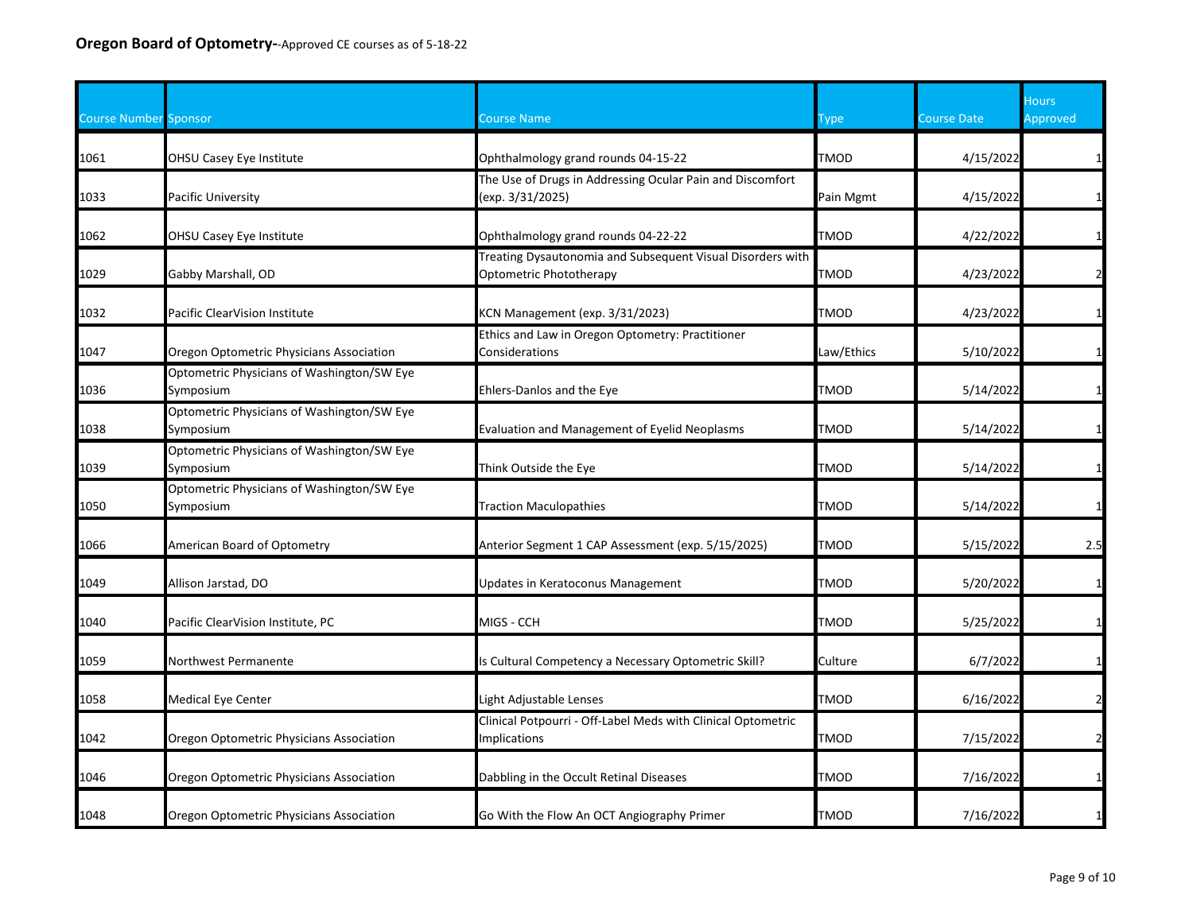| <b>Course Number Sponsor</b> |                                                         | Course Name                                                                           | ype         | <b>Course Date</b> | Hours<br>Approved |
|------------------------------|---------------------------------------------------------|---------------------------------------------------------------------------------------|-------------|--------------------|-------------------|
| 1061                         | OHSU Casey Eye Institute                                | Ophthalmology grand rounds 04-15-22                                                   | <b>TMOD</b> | 4/15/2022          |                   |
| 1033                         | Pacific University                                      | The Use of Drugs in Addressing Ocular Pain and Discomfort<br>(exp. 3/31/2025)         | Pain Mgmt   | 4/15/2022          |                   |
| 1062                         | OHSU Casey Eye Institute                                | Ophthalmology grand rounds 04-22-22                                                   | <b>TMOD</b> | 4/22/2022          |                   |
| 1029                         | Gabby Marshall, OD                                      | Treating Dysautonomia and Subsequent Visual Disorders with<br>Optometric Phototherapy | <b>TMOD</b> | 4/23/2022          | $\mathcal{P}$     |
| 1032                         | Pacific ClearVision Institute                           | KCN Management (exp. 3/31/2023)                                                       | <b>TMOD</b> | 4/23/2022          |                   |
| 1047                         | Oregon Optometric Physicians Association                | Ethics and Law in Oregon Optometry: Practitioner<br>Considerations                    | Law/Ethics  | 5/10/2022          |                   |
| 1036                         | Optometric Physicians of Washington/SW Eye<br>Symposium | Ehlers-Danlos and the Eye                                                             | <b>TMOD</b> | 5/14/2022          |                   |
| 1038                         | Optometric Physicians of Washington/SW Eye<br>Symposium | Evaluation and Management of Eyelid Neoplasms                                         | <b>TMOD</b> | 5/14/2022          |                   |
| 1039                         | Optometric Physicians of Washington/SW Eye<br>Symposium | Think Outside the Eye                                                                 | <b>TMOD</b> | 5/14/2022          |                   |
| 1050                         | Optometric Physicians of Washington/SW Eye<br>Symposium | <b>Traction Maculopathies</b>                                                         | <b>TMOD</b> | 5/14/2022          |                   |
| 1066                         | American Board of Optometry                             | Anterior Segment 1 CAP Assessment (exp. 5/15/2025)                                    | <b>TMOD</b> | 5/15/2022          | 2.5               |
| 1049                         | Allison Jarstad, DO                                     | Updates in Keratoconus Management                                                     | TMOD        | 5/20/2022          |                   |
| 1040                         | Pacific ClearVision Institute, PC                       | MIGS - CCH                                                                            | <b>TMOD</b> | 5/25/2022          |                   |
| 1059                         | Northwest Permanente                                    | s Cultural Competency a Necessary Optometric Skill?                                   | Culture     | 6/7/2022           |                   |
| 1058                         | Medical Eye Center                                      | ight Adjustable Lenses                                                                | <b>TMOD</b> | 6/16/2022          |                   |
| 1042                         | Oregon Optometric Physicians Association                | Clinical Potpourri - Off-Label Meds with Clinical Optometric<br>mplications           | <b>TMOD</b> | 7/15/2022          |                   |
| 1046                         | Oregon Optometric Physicians Association                | Dabbling in the Occult Retinal Diseases                                               | <b>TMOD</b> | 7/16/2022          | $1\overline{ }$   |
| 1048                         | Oregon Optometric Physicians Association                | Go With the Flow An OCT Angiography Primer                                            | <b>TMOD</b> | 7/16/2022          |                   |